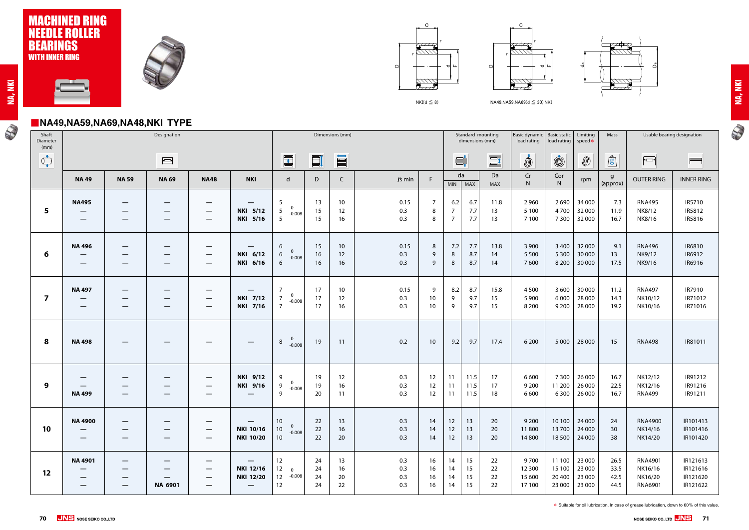# ■**NA49,NA59,NA69,NA48,NKI TYPE**

N





 $NKI(d \leq 8)$   $NA49, NA59, NA69(d \leq 30), NKI$ 





| r. |
|----|
|    |
|    |

N

| Shaft<br>Diameter<br>(mm)                                                                                                                                                                                                                                                                                                                           | Designation                                         |                                                                        |                                                                                                                                                                                                                                                                                                                                                     |                                                             |                                                           | Dimensions (mm)                                                                              |                             |                             |                          |                          |                                          | Standard mounting<br>Basic dynamic   Basic static<br>dimensions (mm)<br>load rating |                      |                                    | Limiting<br>Mass<br>load rating<br>speed* |                                      |                              | Usable bearing designation                             |                                              |
|-----------------------------------------------------------------------------------------------------------------------------------------------------------------------------------------------------------------------------------------------------------------------------------------------------------------------------------------------------|-----------------------------------------------------|------------------------------------------------------------------------|-----------------------------------------------------------------------------------------------------------------------------------------------------------------------------------------------------------------------------------------------------------------------------------------------------------------------------------------------------|-------------------------------------------------------------|-----------------------------------------------------------|----------------------------------------------------------------------------------------------|-----------------------------|-----------------------------|--------------------------|--------------------------|------------------------------------------|-------------------------------------------------------------------------------------|----------------------|------------------------------------|-------------------------------------------|--------------------------------------|------------------------------|--------------------------------------------------------|----------------------------------------------|
| $\begin{picture}(120,10) \put(0,0){\line(1,0){10}} \put(15,0){\line(1,0){10}} \put(15,0){\line(1,0){10}} \put(15,0){\line(1,0){10}} \put(15,0){\line(1,0){10}} \put(15,0){\line(1,0){10}} \put(15,0){\line(1,0){10}} \put(15,0){\line(1,0){10}} \put(15,0){\line(1,0){10}} \put(15,0){\line(1,0){10}} \put(15,0){\line(1,0){10}} \put(15,0){\line($ |                                                     |                                                                        | $\begin{picture}(20,20) \put(0,0){\line(1,0){10}} \put(15,0){\line(1,0){10}} \put(15,0){\line(1,0){10}} \put(15,0){\line(1,0){10}} \put(15,0){\line(1,0){10}} \put(15,0){\line(1,0){10}} \put(15,0){\line(1,0){10}} \put(15,0){\line(1,0){10}} \put(15,0){\line(1,0){10}} \put(15,0){\line(1,0){10}} \put(15,0){\line(1,0){10}} \put(15,0){\line(1$ |                                                             |                                                           | $\begin{array}{ c } \hline \hline \hline \end{array}$                                        | $\Box$                      | O                           |                          |                          | $\blacksquare^{\mathsf{t}}_{\mathsf{t}}$ |                                                                                     | $\equiv$             | İ                                  | $\circledS$                               | $\circledS$                          | $\mathbf{r}$                 | $\overline{\phantom{0}}$                               | $\blacksquare$                               |
|                                                                                                                                                                                                                                                                                                                                                     | <b>NA49</b>                                         | <b>NA 59</b>                                                           | <b>NA 69</b>                                                                                                                                                                                                                                                                                                                                        | <b>NA48</b>                                                 | <b>NKI</b>                                                | $\mathsf{d}$                                                                                 | $\mathsf D$                 | C                           | $rs$ min                 | F                        | <b>MIN</b>                               | da<br><b>MAX</b>                                                                    | Da<br>MAX            | Cr<br>${\sf N}$                    | Cor<br>${\sf N}$                          | rpm                                  | $\mathsf g$<br>(approx)      | <b>OUTER RING</b>                                      | <b>INNER RING</b>                            |
| 5                                                                                                                                                                                                                                                                                                                                                   | <b>NA495</b><br>$\qquad \qquad \longleftarrow$<br>— | $\overline{\phantom{m}}$                                               | $\qquad \qquad \longleftarrow$                                                                                                                                                                                                                                                                                                                      | $\hspace{0.05cm}$<br>$\hspace{0.05cm}$<br>$\hspace{0.05cm}$ | $\hspace{0.05cm}$<br><b>NKI 5/12</b><br>NKI 5/16          | 5<br>$\mathbf 0$<br>$\overline{5}$<br>$-0.008$<br>5                                          | 13<br>15<br>15 <sub>1</sub> | 10 <sup>°</sup><br>12<br>16 | 0.15<br>0.3<br>0.3       | $\overline{7}$<br>8<br>8 | 6.2<br>$\overline{7}$<br>$\overline{7}$  | 6.7<br>7.7<br>7.7                                                                   | 11.8<br>13<br>13     | 2 9 6 0<br>5 1 0 0<br>7 100        | 2690<br>4700<br>7 3 0 0                   | 34 000<br>32 000<br>32 000           | 7.3<br>11.9<br>16.7          | <b>RNA495</b><br>NK8/12<br>NK8/16                      | IR5710<br>IR5812<br>IR5816                   |
| 6                                                                                                                                                                                                                                                                                                                                                   | <b>NA496</b>                                        |                                                                        | –<br>–                                                                                                                                                                                                                                                                                                                                              | $\hspace{0.1mm}-\hspace{0.1mm}$<br>$\hspace{0.05cm}$        | NKI 6/12<br>NKI 6/16                                      | 6<br>$\mathbf{0}$<br>6<br>$-0.008$<br>6                                                      | 15<br>16<br>16              | 10<br>12<br>16              | 0.15<br>0.3<br>0.3       | 8<br>9<br>9              | 7.2<br>8<br>8                            | 7.7<br>8.7<br>8.7                                                                   | 13.8<br>14<br>14     | 3 9 0 0<br>5 5 0 0<br>7600         | 3 4 0 0<br>5 3 0 0<br>8 2 0 0             | 32 000<br>30 000<br>30 000           | 9.1<br>13<br>17.5            | <b>RNA496</b><br>NK9/12<br>NK9/16                      | IR6810<br>IR6912<br>IR6916                   |
| $\overline{\mathbf{z}}$                                                                                                                                                                                                                                                                                                                             | <b>NA497</b><br>—<br>–                              | $\hspace{0.05cm}$<br>--                                                | –<br>–<br>–                                                                                                                                                                                                                                                                                                                                         | $\hspace{0.05cm}$<br>$\hspace{0.05cm}$<br>$\hspace{0.05cm}$ | —<br><b>NKI 7/12</b><br>NKI 7/16                          | $\overline{7}$<br>$\mathbf 0$<br>$\overline{7}$<br>$-0.008$<br>$\overline{7}$                | 17<br>17<br>17              | 10<br>12<br>16              | 0.15<br>0.3<br>0.3       | 9<br>10<br>10            | 8.2<br>9<br>9                            | 8.7<br>9.7<br>9.7                                                                   | 15.8<br>15<br>15     | 4 5 0 0<br>5 9 0 0<br>8 2 0 0      | 3 600<br>6 0 0 0<br>9 2 0 0               | 30 000<br>28 000<br>28 000           | 11.2<br>14.3<br>19.2         | <b>RNA497</b><br>NK10/12<br>NK10/16                    | IR7910<br>IR71012<br>IR71016                 |
| 8                                                                                                                                                                                                                                                                                                                                                   | <b>NA498</b>                                        | $\overline{\phantom{m}}$                                               | –                                                                                                                                                                                                                                                                                                                                                   | $\hspace{0.05cm}$                                           | $\overline{\phantom{m}}$                                  | $\mathbf{0}$<br>8<br>$-0.008$                                                                | 19                          | 11                          | 0.2                      | 10                       | 9.2                                      | 9.7                                                                                 | 17.4                 | 6 2 0 0                            | 5 0 0 0                                   | 28 000                               | 15                           | <b>RNA498</b>                                          | IR81011                                      |
| 9                                                                                                                                                                                                                                                                                                                                                   | $\qquad \qquad \longleftarrow$<br><b>NA499</b>      |                                                                        | –<br>—<br>—                                                                                                                                                                                                                                                                                                                                         | $\hspace{0.05cm}$<br>$\hspace{0.05cm}$<br>$\hspace{0.05cm}$ | <b>NKI 9/12</b><br>NKI 9/16<br>—                          | 9<br>$\mathbf 0$<br>9<br>$-0.008$<br>9                                                       | 19<br>19<br>20              | 12<br>16<br>11              | 0.3<br>0.3<br>0.3        | 12<br>12<br>12           | 11<br>11<br>11                           | 11.5<br>11.5<br>11.5                                                                | 17<br>17<br>18       | 6 600<br>9 2 0 0<br>6 600          | 7 3 0 0<br>11 200<br>6300                 | 26 000<br>26 000<br>26 000           | 16.7<br>22.5<br>16.7         | NK12/12<br>NK12/16<br><b>RNA499</b>                    | IR91212<br>IR91216<br>IR91211                |
| 10                                                                                                                                                                                                                                                                                                                                                  | <b>NA 4900</b><br>—                                 | —                                                                      | –<br>–                                                                                                                                                                                                                                                                                                                                              | —<br>$\hspace{0.05cm}$                                      | <b>NKI 10/16</b><br><b>NKI 10/20</b>                      | 10 <sup>°</sup><br>$\overline{\mathbf{0}}$<br>10 <sub>1</sub><br>$-0.008$<br>10 <sup>°</sup> | 22<br>22<br>22              | 13<br>16<br>20              | 0.3<br>0.3<br>0.3        | 14<br>14<br>14           | 12<br>12<br>12                           | 13<br>13<br>13                                                                      | 20<br>20<br>20       | 9 2 0 0<br>11800<br>14 800         | 10 100<br>13700<br>18 500                 | 24 000<br>24 000<br>24 000           | 24<br>30<br>38               | <b>RNA4900</b><br>NK14/16<br>NK14/20                   | IR101413<br>IR101416<br>IR101420             |
| 12                                                                                                                                                                                                                                                                                                                                                  | <b>NA 4901</b><br>—<br>—                            | $\qquad \qquad \longleftarrow$<br>–<br>$\hspace{0.1mm}-\hspace{0.1mm}$ | –<br>NA 6901                                                                                                                                                                                                                                                                                                                                        | —<br>$\hspace{0.05cm}$                                      | <b>NKI 12/16</b><br><b>NKI 12/20</b><br>$\qquad \qquad -$ | 12<br>12<br>$\mathbf 0$<br>12<br>$-0.008$<br>12                                              | 24<br>24<br>24<br>24        | 13<br>16<br>20<br>22        | 0.3<br>0.3<br>0.3<br>0.3 | 16<br>16<br>16<br>16     | 14<br>14<br>14<br>14                     | 15<br>15<br>15<br>15                                                                | 22<br>22<br>22<br>22 | 9700<br>12 300<br>15 600<br>17 100 | 11 100<br>15 100<br>20 400<br>23 000      | 23 000<br>23 000<br>23 000<br>23 000 | 26.5<br>33.5<br>42.5<br>44.5 | <b>RNA4901</b><br>NK16/16<br>NK16/20<br><b>RNA6901</b> | IR121613<br>IR121616<br>IR121620<br>IR121622 |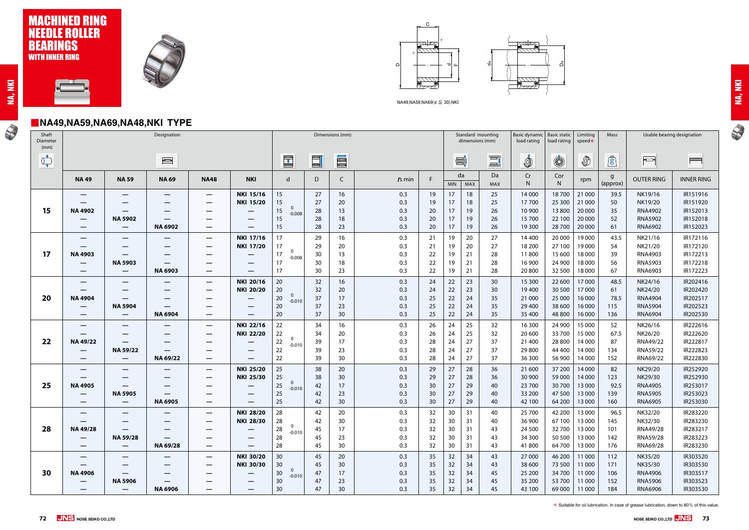#### ■**NA49,NA59,NA69,NA48,NKI TYPE**







NA49,NA59,NA69(d ≤ 30),NKI

| ٦ |
|---|
|   |



| Shaft<br>Diameter<br>(mm)                                                                                                                                                                                                                                                                                                                           |                                                     |                                     | Dimensions (mm)   |                                                             |                                      |                                                                                          |          |          |            | Standard mounting<br>dimensions (mm) | <b>Basic static</b><br>Limiting<br>Basic dynamic<br>Mass<br>load rating<br>speed*<br>load rating |                |                    | Usable bearing designation |                  |                  |                          |                                  |                      |
|-----------------------------------------------------------------------------------------------------------------------------------------------------------------------------------------------------------------------------------------------------------------------------------------------------------------------------------------------------|-----------------------------------------------------|-------------------------------------|-------------------|-------------------------------------------------------------|--------------------------------------|------------------------------------------------------------------------------------------|----------|----------|------------|--------------------------------------|--------------------------------------------------------------------------------------------------|----------------|--------------------|----------------------------|------------------|------------------|--------------------------|----------------------------------|----------------------|
| $\begin{picture}(120,10) \put(0,0){\line(1,0){10}} \put(15,0){\line(1,0){10}} \put(15,0){\line(1,0){10}} \put(15,0){\line(1,0){10}} \put(15,0){\line(1,0){10}} \put(15,0){\line(1,0){10}} \put(15,0){\line(1,0){10}} \put(15,0){\line(1,0){10}} \put(15,0){\line(1,0){10}} \put(15,0){\line(1,0){10}} \put(15,0){\line(1,0){10}} \put(15,0){\line($ |                                                     |                                     | $\frac{1}{2}$     |                                                             |                                      | $\begin{array}{c} \begin{array}{c} \begin{array}{c} \end{array} \end{array} \end{array}$ | $\Box$   | O        |            |                                      |                                                                                                  | $\Xi^{\prime}$ | $\Xi$ <sup>t</sup> | Ò                          | $\circledS$      | $\circled{0}$    | $\mathbf{r}$             | $\sqrt{2}$                       | $\blacksquare$       |
|                                                                                                                                                                                                                                                                                                                                                     | <b>NA49</b>                                         | <b>NA 59</b>                        | <b>NA 69</b>      | <b>NA48</b>                                                 | <b>NKI</b>                           | $\mathsf{d}$                                                                             | D        | C        | $rs$ min   | F                                    | MIN                                                                                              | da<br>MAX      | Da<br>MAX          | Cr<br>N                    | Cor<br>N         | rpm              | $\mathsf{g}$<br>(approx) | <b>OUTER RING</b>                | <b>INNER RING</b>    |
|                                                                                                                                                                                                                                                                                                                                                     |                                                     |                                     | $\hspace{0.05cm}$ | $\hspace{0.05cm}$                                           | <b>NKI 15/16</b>                     | 15                                                                                       | 27       | 16       | 0.3        | 19                                   | 17                                                                                               | 18             | 25                 | 14 000                     | 18700            | 21 000           | 39.5                     | NK19/16                          | IR151916             |
|                                                                                                                                                                                                                                                                                                                                                     |                                                     |                                     |                   |                                                             | <b>NKI 15/20</b>                     | 15<br>0                                                                                  | 27       | 20       | 0.3        | 19                                   | 17                                                                                               | 18             | 25                 | 17700                      | 25 300           | 21 000           | 50                       | NK19/20                          | IR151920             |
| 15                                                                                                                                                                                                                                                                                                                                                  | <b>NA 4902</b>                                      | <b>NA 5902</b>                      |                   |                                                             | $\overline{\phantom{m}}$             | 15<br>$-0.008$<br>15                                                                     | 28<br>28 | 13       | 0.3        | 20<br>20                             | 17<br>17                                                                                         | 19<br>19       | 26<br>26           | 10 900<br>15 700           | 13800<br>22 100  | 20 000<br>20 000 | 35                       | <b>RNA4902</b><br><b>RNA5902</b> | IR152013<br>IR152018 |
|                                                                                                                                                                                                                                                                                                                                                     | $\qquad \qquad \longleftarrow$<br>$\hspace{0.05cm}$ | $\overline{\phantom{m}}$            | <b>NA 6902</b>    | –                                                           | –                                    | 15                                                                                       | 28       | 18<br>23 | 0.3<br>0.3 | 20                                   | 17                                                                                               | 19             | 26                 | 19 300                     | 28 700           | 20 000           | 52<br>61                 | <b>RNA6902</b>                   | IR152023             |
|                                                                                                                                                                                                                                                                                                                                                     |                                                     |                                     |                   |                                                             |                                      |                                                                                          |          |          |            |                                      |                                                                                                  |                |                    |                            |                  |                  |                          |                                  |                      |
|                                                                                                                                                                                                                                                                                                                                                     | —<br>$\overline{\phantom{m}}$                       | —                                   | —                 | $\hspace{0.1mm}-\hspace{0.1mm}$<br>$\overline{\phantom{m}}$ | <b>NKI 17/16</b><br><b>NKI 17/20</b> | 17<br>17                                                                                 | 29<br>29 | 16<br>20 | 0.3<br>0.3 | 21<br>21                             | 19<br>19                                                                                         | 20<br>20       | 27<br>27           | 14 400<br>18 200           | 20 000<br>27 100 | 19 000<br>19 000 | 43.5<br>54               | NK21/16<br>NK21/20               | IR172116<br>IR172120 |
| 17                                                                                                                                                                                                                                                                                                                                                  | <b>NA4903</b>                                       |                                     | $\hspace{0.05cm}$ | —                                                           |                                      | 0<br>17                                                                                  | 30       | 13       | 0.3        | 22                                   | 19                                                                                               | 21             | 28                 | 11800                      | 15 600           | 18 000           | 39                       | <b>RNA4903</b>                   | IR172213             |
|                                                                                                                                                                                                                                                                                                                                                     | —                                                   | <b>NA 5903</b>                      |                   |                                                             |                                      | $-0.008$<br>17                                                                           | 30       | 18       | 0.3        | 22                                   | 19                                                                                               | 21             | 28                 | 16 900                     | 24 900           | 18 000           | 56                       | <b>RNA5903</b>                   | IR172218             |
|                                                                                                                                                                                                                                                                                                                                                     | $\overline{\phantom{m}}$                            | $\overline{\phantom{m}}$            | <b>NA 6903</b>    |                                                             | $\hspace{0.1mm}-\hspace{0.1mm}$      | 17                                                                                       | 30       | 23       | 0.3        | 22                                   | 19                                                                                               | 21             | 28                 | 20 800                     | 32 500           | 18 000           | 67                       | RNA6903                          | IR172223             |
|                                                                                                                                                                                                                                                                                                                                                     | —                                                   |                                     |                   | $\hspace{0.1mm}-\hspace{0.1mm}$                             | <b>NKI 20/16</b>                     | 20                                                                                       | 32       | 16       | 0.3        | 24                                   | 22                                                                                               | 23             | 30                 | 15 300                     | 22 600           | 17000            | 48.5                     | NK24/16                          | IR202416             |
|                                                                                                                                                                                                                                                                                                                                                     | —                                                   | —                                   | $\hspace{0.05cm}$ | —                                                           | <b>NKI 20/20</b>                     | 20                                                                                       | 32       | 20       | 0.3        | 24                                   | 22                                                                                               | 23             | 30                 | 19400                      | 30 500           | 17 000           | 61                       | NK24/20                          | IR202420             |
| 20                                                                                                                                                                                                                                                                                                                                                  | <b>NA4904</b>                                       | $\qquad \qquad \longleftarrow$      | —                 |                                                             | $\hspace{0.1mm}-\hspace{0.1mm}$      | $\mathbf 0$<br>20                                                                        | 37       | 17       | 0.3        | 25                                   | 22                                                                                               | 24             | 35                 | 21 000                     | 25 000           | 16 000           | 78.5                     | <b>RNA4904</b>                   | IR202517             |
|                                                                                                                                                                                                                                                                                                                                                     |                                                     | <b>NA 5904</b>                      |                   |                                                             |                                      | $-0.010$<br>20                                                                           | 37       | 23       | 0.3        | 25                                   | 22                                                                                               | 24             | 35                 | 29 400                     | 38 600           | 16 000           | 115                      | <b>RNA5904</b>                   | IR202523             |
|                                                                                                                                                                                                                                                                                                                                                     | $\overline{\phantom{a}}$                            | $\overline{\phantom{m}}$            | <b>NA 6904</b>    |                                                             | $\overline{\phantom{m}}$             | 20                                                                                       | 37       | 30       | 0.3        | 25                                   | 22                                                                                               | 24             | 35                 | 35 400                     | 48 800           | 16 000           | 136                      | <b>RNA6904</b>                   | IR202530             |
|                                                                                                                                                                                                                                                                                                                                                     | —                                                   | $\overline{\phantom{0}}$            | —                 | $\hspace{0.05cm}$                                           | <b>NKI 22/16</b>                     | 22                                                                                       | 34       | 16       | 0.3        | 26                                   | 24                                                                                               | 25             | 32                 | 16 300                     | 24 900           | 15 000           | 52                       | NK26/16                          | IR222616             |
|                                                                                                                                                                                                                                                                                                                                                     |                                                     |                                     |                   |                                                             | <b>NKI 22/20</b>                     | 22                                                                                       | 34       | 20       | 0.3        | 26                                   | 24                                                                                               | 25             | 32                 | 20 600                     | 33 700           | 15 000           | 67.5                     | NK26/20                          | IR222620             |
| 22                                                                                                                                                                                                                                                                                                                                                  | NA 49/22                                            |                                     | –                 | –                                                           | $\hspace{0.1mm}-\hspace{0.1mm}$      | $\mathbf 0$<br>22<br>$-0.010$                                                            | 39       | 17       | 0.3        | 28                                   | 24                                                                                               | 27             | 37                 | 21 400                     | 28 800           | 14 000           | 87                       | RNA49/22                         | IR222817             |
|                                                                                                                                                                                                                                                                                                                                                     |                                                     | NA 59/22                            |                   |                                                             | $\overline{\phantom{m}}$             | 22                                                                                       | 39       | 23       | 0.3        | 28                                   | 24                                                                                               | 27             | 37                 | 29800                      | 44 400           | 14 000           | 134                      | RNA59/22                         | IR222823             |
|                                                                                                                                                                                                                                                                                                                                                     | —                                                   | $\overline{\phantom{m}}$            | NA 69/22          | $\hspace{0.05cm}$                                           | $\hspace{0.05cm}$                    | 22                                                                                       | 39       | 30       | 0.3        | 28                                   | 24                                                                                               | 27             | 37                 | 36 300                     | 56 900           | 14 000           | 152                      | RNA69/22                         | IR222830             |
|                                                                                                                                                                                                                                                                                                                                                     |                                                     |                                     | —                 | $\overline{\phantom{m}}$                                    | <b>NKI 25/20</b>                     | 25                                                                                       | 38       | 20       | 0.3        | 29                                   | 27                                                                                               | 28             | 36                 | 21 600                     | 37 200           | 14 000           | 82                       | NK29/20                          | IR252920             |
|                                                                                                                                                                                                                                                                                                                                                     | —                                                   | —                                   | –                 |                                                             | <b>NKI 25/30</b>                     | 25                                                                                       | 38       | 30       | 0.3        | 29                                   | 27                                                                                               | 28             | 36                 | 30 900                     | 59 000           | 14 000           | 123                      | NK29/30                          | IR252930             |
| 25                                                                                                                                                                                                                                                                                                                                                  | <b>NA 4905</b>                                      | $\qquad \qquad \longleftarrow$      |                   | –                                                           |                                      | 0<br>25<br>$-0.010$                                                                      | 42       | 17       | 0.3        | 30                                   | 27                                                                                               | 29             | 40                 | 23 700                     | 30 700           | 13 000           | 92.5                     | <b>RNA4905</b>                   | IR253017             |
|                                                                                                                                                                                                                                                                                                                                                     | —                                                   | <b>NA 5905</b>                      | —                 | –                                                           |                                      | 25                                                                                       | 42       | 23       | 0.3        | 30                                   | 27                                                                                               | 29             | 40                 | 33 200                     | 47 500           | 13 000           | 139                      | <b>RNA5905</b>                   | IR253023             |
|                                                                                                                                                                                                                                                                                                                                                     | —                                                   | $\overbrace{\phantom{13333}}$       | <b>NA 6905</b>    |                                                             | $\hspace{0.05cm}$                    | 25                                                                                       | 42       | 30       | 0.3        | 30                                   | 27                                                                                               | 29             | 40                 | 42 100                     | 64 200           | 13 000           | 160                      | <b>RNA6905</b>                   | IR253030             |
|                                                                                                                                                                                                                                                                                                                                                     |                                                     |                                     |                   |                                                             | <b>NKI 28/20</b>                     | 28                                                                                       | 42       | 20       | 0.3        | 32                                   | 30                                                                                               | 31             | 40                 | 25 700                     | 42 200           | 13 000           | 96.5                     | NK32/20                          | IR283220             |
|                                                                                                                                                                                                                                                                                                                                                     |                                                     |                                     |                   |                                                             | <b>NKI 28/30</b>                     | 28<br>$\mathbf 0$                                                                        | 42       | 30       | 0.3        | 32                                   | 30                                                                                               | -31            | 40                 | 36 900                     | 67 100           | 13 000           | 145                      | NK32/30                          | IR283230             |
| 28                                                                                                                                                                                                                                                                                                                                                  | NA 49/28                                            |                                     |                   |                                                             | –                                    | 28<br>$-0.010$                                                                           | 45       | 17       | 0.3        | 32                                   | 30                                                                                               | -31            | 43                 | 24 500                     | 32700            | 13 000           | 101                      | RNA49/28                         | IR283217             |
|                                                                                                                                                                                                                                                                                                                                                     |                                                     | NA 59/28                            |                   |                                                             |                                      | 28                                                                                       | 45       | 23       | 0.3        | 32                                   | 30                                                                                               | -31            | 43                 | 34 300                     | 50 500           | 13 000           | 142                      | RNA59/28                         | IR283223             |
|                                                                                                                                                                                                                                                                                                                                                     |                                                     | $\overline{\phantom{m}}$            | NA 69/28          | —                                                           | $\hspace{0.1mm}-\hspace{0.1mm}$      | 28                                                                                       | 45       | 30       | 0.3        | 32                                   | 30                                                                                               | 31             | 43                 | 41800                      | 64 700           | 13 000           | 176                      | RNA69/28                         | IR283230             |
|                                                                                                                                                                                                                                                                                                                                                     | —                                                   | —                                   | –                 | $\hspace{0.05cm}$                                           | <b>NKI 30/20</b>                     | 30                                                                                       | 45       | 20       | 0.3        | 35                                   | 32                                                                                               | 34             | 43                 | 27 000                     | 46 200           | 11 000           | 112                      | NK35/20                          | IR303520             |
|                                                                                                                                                                                                                                                                                                                                                     | —                                                   |                                     |                   |                                                             | <b>NKI 30/30</b>                     | 30<br>$\mathbf{0}$                                                                       | 45       | 30       | 0.3        | 35                                   | 32                                                                                               | 34             | 43                 | 38 600                     | 73 500           | 11 000           | 171                      | NK35/30                          | IR303530             |
| 30                                                                                                                                                                                                                                                                                                                                                  | <b>NA 4906</b>                                      | —                                   |                   |                                                             |                                      | 30<br>$-0.010$                                                                           | 47       | 17       | 0.3        | 35                                   | 32                                                                                               | 34             | 45                 | 25 200                     | 34 700           | 11 000           | 106                      | <b>RNA4906</b>                   | IR303517             |
|                                                                                                                                                                                                                                                                                                                                                     |                                                     | <b>NA 5906</b><br>$\qquad \qquad -$ | <b>NA 6906</b>    |                                                             |                                      | 30<br>30                                                                                 | 47<br>47 | 23<br>30 | 0.3<br>0.3 | 35<br>35                             | 32<br>32                                                                                         | 34<br>34       | 45<br>45           | 35 200<br>43 100           | 53 700<br>69 000 | 11 000<br>11 000 | 152<br>184               | <b>RNA5906</b><br><b>RNA6906</b> | IR303523<br>IR303530 |
|                                                                                                                                                                                                                                                                                                                                                     |                                                     |                                     |                   |                                                             |                                      |                                                                                          |          |          |            |                                      |                                                                                                  |                |                    |                            |                  |                  |                          |                                  |                      |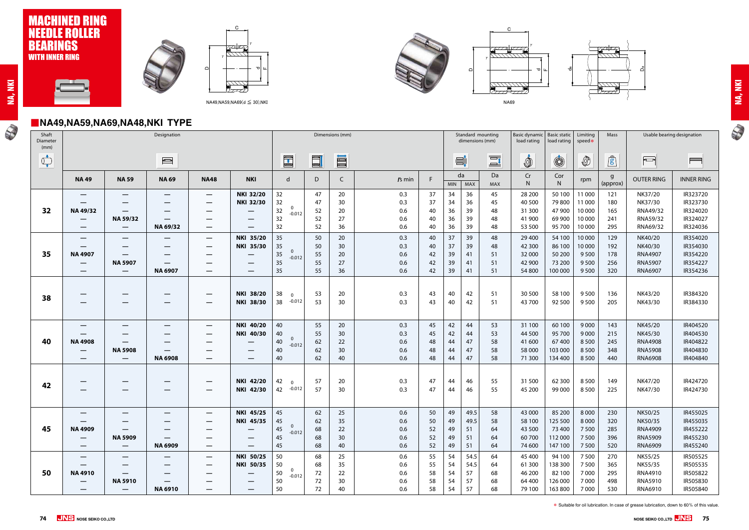# ■**NA49,NA59,NA69,NA48,NKI TYPE**



NA69

U





NA49,NA59,NA69(d ≤ 30),NKI





| i |
|---|
|   |
|   |
|   |
|   |
|   |
|   |
|   |

N

| Shaft<br>Diameter<br>(mm)      |                                                                                   | Designation                                                                          |                                                              |                                                                                                                     |                                                                                            |                                                                                          | Dimensions (mm)            |                            |                                     |                            |                            |                                | Standard mounting<br>dimensions (mm)                   | Basic dynamic   Basic static<br>load rating<br>load rating<br>speed* |                                                   | Limiting                                         | Mass                            |                                                                          | Usable bearing designation                               |
|--------------------------------|-----------------------------------------------------------------------------------|--------------------------------------------------------------------------------------|--------------------------------------------------------------|---------------------------------------------------------------------------------------------------------------------|--------------------------------------------------------------------------------------------|------------------------------------------------------------------------------------------|----------------------------|----------------------------|-------------------------------------|----------------------------|----------------------------|--------------------------------|--------------------------------------------------------|----------------------------------------------------------------------|---------------------------------------------------|--------------------------------------------------|---------------------------------|--------------------------------------------------------------------------|----------------------------------------------------------|
| $\bigcirc_{\bullet}^{\bullet}$ |                                                                                   |                                                                                      | $\begin{array}{c}\n\hline\n\text{1} & \text{1}\n\end{array}$ |                                                                                                                     |                                                                                            | $\begin{array}{c} \begin{array}{c} \begin{array}{c} \end{array} \end{array} \end{array}$ | $\Box$                     | III                        |                                     |                            |                            | $\blacksquare^{\mathbf{t}}$    | $\Xi$ <sup>t</sup>                                     | İ                                                                    | $\circledS$                                       |                                                  | $\mathbf{r}$                    | $\overline{\phantom{a}}$                                                 | $\blacksquare$                                           |
|                                | <b>NA49</b>                                                                       | <b>NA 59</b>                                                                         | <b>NA 69</b>                                                 | <b>NA48</b>                                                                                                         | <b>NKI</b>                                                                                 | $\mathsf{d}$                                                                             | D                          |                            | $rs$ min                            | F                          | <b>MIN</b>                 | da<br>MAX                      | Da<br>MAX                                              | Cr<br>N                                                              | Cor<br>N                                          | rpm                                              | g<br>(approx)                   | <b>OUTER RING</b>                                                        | <b>INNER RING</b>                                        |
| 32                             | $\overline{\phantom{0}}$<br>NA 49/32<br>$\overline{\phantom{0}}$                  | $\overline{\phantom{0}}$<br>$\overline{\phantom{m}}$<br>NA 59/32                     | $\hspace{0.05cm}$<br>$\hspace{0.05cm}$                       | $\overline{\phantom{m}}$<br>—<br>$\overline{\phantom{m}}$                                                           | <b>NKI 32/20</b><br><b>NKI 32/30</b><br>$\overline{\phantom{0}}$                           | 32<br>32<br>0<br>32<br>$-0.012$<br>32                                                    | 47<br>47<br>52<br>52       | 20<br>30<br>20<br>27       | 0.3<br>0.3<br>0.6<br>0.6            | 37<br>37<br>40<br>40       | 34<br>34<br>36<br>36       | 36<br>36<br>39<br>39           | 45<br>45<br>48<br>48                                   | 28 200<br>40 500<br>31 300<br>41 900                                 | 50 100<br>79800<br>47 900<br>69 900               | 11 000<br>11 000<br>10 000<br>10 000             | 121<br>180<br>165<br>241        | NK37/20<br>NK37/30<br>RNA49/32<br>RNA59/32                               | IR323720<br>IR323730<br>IR324020<br>IR324027             |
| 35                             | <b>NA 4907</b>                                                                    | $\overline{\phantom{m}}$<br>$\hspace{0.05cm}$                                        | NA 69/32                                                     | $\overline{\phantom{m}}$<br>$\overline{\phantom{m}}$<br>–                                                           | —<br><b>NKI 35/20</b><br><b>NKI 35/30</b>                                                  | 32<br>35<br>35<br>$\mathbf 0$<br>$35\,$<br>$-0.012$                                      | 52<br>50<br>50<br>55       | 36<br>20<br>30<br>20       | 0.6<br>0.3<br>0.3<br>0.6            | 40<br>40<br>40<br>42       | 36<br>37<br>37<br>39       | 39<br>39<br>39<br>41           | 48<br>48<br>48<br>51                                   | 53 500<br>29 400<br>42 300<br>32 000                                 | 95 700<br>54 100<br>86 100<br>50 200              | 10 000<br>10 000<br>10 000<br>9500               | 295<br>129<br>192<br>178        | RNA69/32<br>NK40/20<br>NK40/30<br><b>RNA4907</b>                         | IR324036<br>IR354020<br>IR354030<br>IR354220             |
|                                | $\overline{\phantom{0}}$<br>$\qquad \qquad \overline{\qquad \qquad }$             | <b>NA 5907</b><br>$\overline{\phantom{m}}$                                           | $\overline{\phantom{m}}$<br><b>NA 6907</b>                   | —<br>$\overline{\phantom{m}}$                                                                                       | $\hspace{0.05cm}$                                                                          | 35<br>35                                                                                 | 55<br>55                   | 27<br>36                   | 0.6<br>0.6                          | 42<br>42                   | 39<br>39                   | 41<br>41                       | 51<br>51                                               | 42 900<br>54 800                                                     | 73 200<br>100 000                                 | 9500<br>9 5 0 0                                  | 256<br>320                      | <b>RNA5907</b><br><b>RNA6907</b>                                         | IR354227<br>IR354236                                     |
| 38                             | —                                                                                 | $\overline{\phantom{m}}$                                                             |                                                              | $\overline{\phantom{m}}$<br>$\overline{\phantom{m}}$                                                                | <b>NKI 38/20</b><br><b>NKI 38/30</b>                                                       | 38<br>$\overline{0}$<br>$-0.012$<br>38                                                   | 53<br>53                   | 20<br>30                   | 0.3<br>0.3                          | 43<br>43                   | 40<br>40                   | 42<br>42                       | 51<br>51                                               | 30 500<br>43 700                                                     | 58 100<br>92 500                                  | 9500<br>9500                                     | 136<br>205                      | NK43/20<br>NK43/30                                                       | IR384320<br>IR384330                                     |
| 40                             | —<br><b>NA 4908</b><br>$\overline{\phantom{0}}$<br>$\qquad \qquad \longleftarrow$ | $\hspace{0.05cm}$<br>$\hspace{0.05cm}$<br><b>NA 5908</b><br>$\overline{\phantom{m}}$ | —<br>$\overline{\phantom{0}}$<br><b>NA 6908</b>              | $\overline{\phantom{m}}$<br>$\overline{\phantom{m}}$<br>$\hspace{0.1mm}-\hspace{0.1mm}$<br>$\overline{\phantom{m}}$ | <b>NKI 40/20</b><br>NKI 40/30<br>$\hspace{0.1mm}-\hspace{0.1mm}$<br>$\hspace{0.05cm}$<br>— | 40<br>40<br>0<br>40<br>$-0.012$<br>40<br>40                                              | 55<br>55<br>62<br>62<br>62 | 20<br>30<br>22<br>30<br>40 | 0.3<br>0.3<br>0.6<br>0.6<br>0.6     | 45<br>45<br>48<br>48<br>48 | 42<br>42<br>44<br>44<br>44 | 44<br>44<br>47<br>47<br>47     | 53<br>53<br>58<br>58<br>58                             | 31 100<br>44 500<br>41 600<br>58 000<br>71 300                       | 60 100<br>95 700<br>67400<br>103 000<br>134 400   | 9 0 0 0<br>9000<br>8 5 0 0<br>8 5 0 0<br>8 5 0 0 | 143<br>215<br>245<br>348<br>440 | NK45/20<br>NK45/30<br><b>RNA4908</b><br><b>RNA5908</b><br><b>RNA6908</b> | IR404520<br>IR404530<br>IR404822<br>IR404830<br>IR404840 |
| 42                             | —<br>—                                                                            | –                                                                                    |                                                              | $\overline{\phantom{m}}$<br>$\overline{\phantom{m}}$                                                                | <b>NKI 42/20</b><br><b>NKI 42/30</b>                                                       | 42<br>$\overline{0}$<br>42<br>$-0.012$                                                   | 57<br>57                   | 20<br>30                   | 0.3<br>0.3                          | 47<br>47                   | 44<br>44                   | 46<br>46                       | 55<br>55                                               | 31 500<br>45 200                                                     | 62 300<br>99 000                                  | 8 5 0 0<br>8500                                  | 149<br>225                      | NK47/20<br>NK47/30                                                       | IR424720<br>IR424730                                     |
| 45                             | <b>NA 4909</b><br>$\overline{\phantom{0}}$<br>—                                   | $\overline{\phantom{m}}$<br><b>NA 5909</b><br>$\overline{\phantom{0}}$               | —<br><b>NA 6909</b>                                          | --<br>-<br>—<br>-                                                                                                   | <b>NKI 45/25</b> 45<br><b>NKI 45/35</b><br>—<br>$\hspace{0.1mm}-\hspace{0.1mm}$            | 45<br>$\mathbf 0$<br>45<br>$-0.012$<br>45<br>45                                          | 62<br>62<br>68<br>68<br>68 | 25<br>35<br>22<br>30<br>40 | $0.6\,$<br>0.6<br>0.6<br>0.6<br>0.6 | 50<br>52<br>52<br>52       | 49<br>49<br>49<br>49       | 49.5<br>51<br>-51<br>51        | $50 \mid 49 \mid 49.5 \mid 58$<br>58<br>64<br>64<br>64 | 43 000 85 200 8 000 230<br>58 100<br>43 500<br>60 700<br>74 600      | 125 500<br>73 400<br>112 000<br>147 100           | 8 0 0 0<br>7 5 0 0<br>7 5 0 0<br>7500            | 320<br>285<br>396<br>520        | NK50/25<br>NK50/35<br><b>RNA4909</b><br><b>RNA5909</b><br><b>RNA6909</b> | IR455025<br>IR455035<br>IR455222<br>IR455230<br>IR455240 |
| 50                             | <b>NA4910</b><br>$\qquad \qquad \longleftarrow$<br>$\overline{\phantom{0}}$       | $\hspace{0.05cm}$<br>–<br><b>NA 5910</b><br>$\qquad \qquad -$                        | —<br>—<br><b>NA 6910</b>                                     | $\overline{\phantom{m}}$<br>—<br>–<br>—<br>—                                                                        | NKI 50/25<br><b>NKI 50/35</b><br>—<br>$\hspace{0.1mm}-\hspace{0.1mm}$                      | 50<br>50<br>0<br>50<br>$-0.012$<br>50<br>50                                              | 68<br>68<br>72<br>72<br>72 | 25<br>35<br>22<br>30<br>40 | 0.6<br>0.6<br>0.6<br>0.6<br>0.6     | 55<br>55<br>58<br>58<br>58 | 54<br>54<br>54<br>54<br>54 | 54.5<br>54.5<br>57<br>57<br>57 | 64<br>64<br>68<br>68<br>68                             | 45 400<br>61 300<br>46 200<br>64 400<br>79 100                       | 94 100<br>138 300<br>82 100<br>126 000<br>163 800 | 7 5 0 0<br>7 5 0 0<br>7000<br>7 0 0 0<br>7 0 0 0 | 270<br>365<br>295<br>498<br>530 | NK55/25<br>NK55/35<br><b>RNA4910</b><br><b>RNA5910</b><br><b>RNA6910</b> | IR505525<br>IR505535<br>IR505822<br>IR505830<br>IR505840 |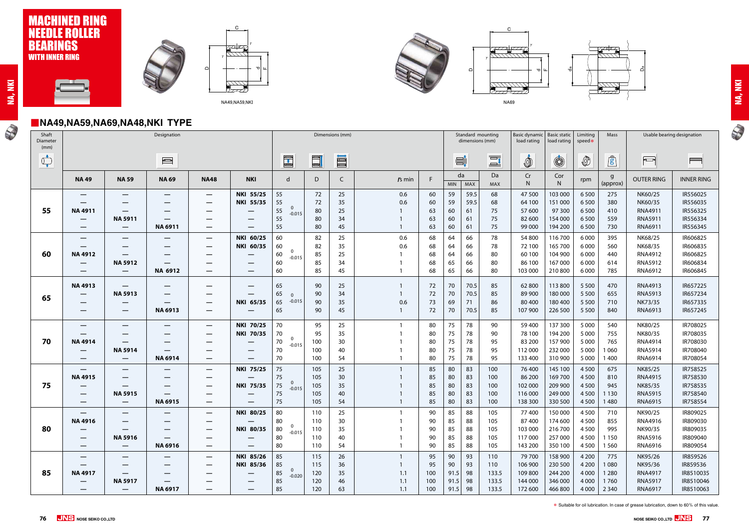## **MACHINED RING**<br>NEEDLE ROLLER LE ROLLER BEARINGS WITH INNER RING



NA69

## ■**NA49,NA59,NA69,NA48,NKI TYPE**

N





$$
\boldsymbol{77}
$$





| r |
|---|
|   |
|   |
|   |
|   |
|   |
|   |
|   |

N

| Shaft<br>Diameter<br>(mm)      |                          |                                           |                          |                                               | Dimensions (mm)                      |                                                       |                |          |            |          |                  | Standard mounting<br>Basic dynamic<br>dimensions (mm)<br>load rating |                    |                    | Basic static   Limiting<br>Mass<br>speed*<br>load rating |                    |                | Usable bearing designation       |                      |
|--------------------------------|--------------------------|-------------------------------------------|--------------------------|-----------------------------------------------|--------------------------------------|-------------------------------------------------------|----------------|----------|------------|----------|------------------|----------------------------------------------------------------------|--------------------|--------------------|----------------------------------------------------------|--------------------|----------------|----------------------------------|----------------------|
| $\bigcirc_{\bullet}^{\bullet}$ |                          |                                           |                          |                                               |                                      | $\begin{array}{ c } \hline \hline \hline \end{array}$ | $\blacksquare$ | E        |            |          | $\equiv$         |                                                                      | $\Xi$ <sup>t</sup> | İ                  | $\circledS$                                              | $\circled{0}$      | $\mathbf{r}$   | $\overline{\mathbb{C}}$          | $\sim$               |
|                                | <b>NA49</b>              | <b>NA 59</b>                              | <b>NA 69</b>             | <b>NA48</b>                                   | <b>NKI</b>                           | $\mathsf{d}$                                          | D              | C        | $rs$ min   | E        | da<br><b>MIN</b> | MAX                                                                  | Da<br><b>MAX</b>   | $\mathsf{Cr}$<br>N | Cor<br>${\sf N}$                                         | rpm                | g<br>(approx)  | <b>OUTER RING</b>                | <b>INNER RING</b>    |
|                                | —<br>—                   | –                                         | —                        | $\hspace{0.05cm}$                             | <b>NKI 55/25</b><br><b>NKI 55/35</b> | 55<br>55                                              | 72<br>72       | 25<br>35 | 0.6<br>0.6 | 60<br>60 | 59<br>59         | 59.5<br>59.5                                                         | 68<br>68           | 47 500<br>64 100   | 103 000<br>151 000                                       | 6500<br>6500       | 275<br>380     | NK60/25<br>NK60/35               | IR556025<br>IR556035 |
| 55                             | <b>NA4911</b><br>—       | —<br><b>NA 5911</b>                       | —                        | $\hspace{0.05cm}$                             | $\hspace{0.05cm}$                    | $\mathbf 0$<br>55<br>$-0.015$<br>55                   | 80<br>80       | 25<br>34 |            | 63<br>63 | 60<br>60         | 61<br>61                                                             | 75<br>75           | 57 600<br>82 600   | 97 300<br>154 000                                        | 6500<br>6500       | 410<br>559     | RNA4911<br><b>RNA5911</b>        | IR556325<br>IR556334 |
|                                |                          | $\hspace{0.05cm}$                         | <b>NA 6911</b>           | $\hspace{0.1mm}-\hspace{0.1mm}$               | $\hspace{0.1mm}-\hspace{0.1mm}$      | 55                                                    | 80             | 45       |            | 63       | 60               | 61                                                                   | 75                 | 99 000             | 194 200                                                  | 6500               | 730            | RNA6911                          | IR556345             |
|                                | $\hspace{0.05cm}$<br>—   | —                                         | —                        | $\overline{\phantom{m}}$<br>$\hspace{0.05cm}$ | NKI 60/25<br>NKI 60/35               | 60<br>60                                              | 82<br>82       | 25<br>35 | 0.6<br>0.6 | 68<br>68 | 64<br>64         | 66<br>66                                                             | 78<br>78           | 54 800<br>72 100   | 116700<br>165 700                                        | 6000<br>6000       | 395<br>560     | NK68/25<br>NK68/35               | IR606825<br>IR606835 |
| 60                             | <b>NA4912</b>            | $\hspace{0.05cm}$                         | —                        |                                               | –                                    | 0<br>60<br>$-0.015$                                   | 85             | 25       |            | 68       | 64               | 66                                                                   | 80                 | 60 100             | 104 900                                                  | 6000               | 440            | <b>RNA4912</b>                   | IR606825             |
|                                | $\qquad \qquad \qquad$   | <b>NA 5912</b>                            | $\overline{\phantom{0}}$ | $\hspace{0.05cm}$                             | $\hspace{0.05cm}$                    | 60                                                    | 85             | 34       |            | 68       | 65               | 66                                                                   | 80                 | 86 100             | 167000                                                   | 6000               | 614            | <b>RNA5912</b>                   | IR606834             |
|                                | —                        | —                                         | NA 6912                  | —                                             | $\hspace{0.05cm}$                    | 60                                                    | 85             | 45       |            | 68       | 65               | 66                                                                   | 80                 | 103 000            | 210 800                                                  | 6 0 0 0            | 785            | RNA6912                          | IR606845             |
|                                | <b>NA4913</b>            |                                           |                          |                                               | –                                    | 65                                                    | 90             | 25       |            | 72       | 70               | 70.5                                                                 | 85                 | 62800              | 113 800                                                  | 5 5 0 0            | 470            | RNA4913                          | IR657225             |
| 65                             | —                        | <b>NA 5913</b>                            | —                        |                                               | –                                    | 65<br>$\Omega$                                        | 90             | 34       |            | 72       | 70               | 70.5                                                                 | 85                 | 89 900             | 180 000                                                  | 5 5 0 0            | 655            | <b>RNA5913</b>                   | IR657234             |
|                                | —                        | $\qquad \qquad \overline{\qquad \qquad }$ | —<br><b>NA 6913</b>      | $\overline{\phantom{m}}$                      | <b>NKI 65/35</b>                     | $-0.015$<br>65                                        | 90             | 35       | 0.6<br>-1  | 73       | 69               | 71<br>70.5                                                           | 86                 | 80 400<br>107 900  | 180 400                                                  | 5 5 0 0<br>5 5 0 0 | 710            | NK73/35<br>RNA6913               | IR657335<br>IR657245 |
|                                |                          | $\qquad \qquad \overline{\qquad \qquad }$ |                          | $\hspace{0.05cm}$                             | $\overline{\phantom{m}}$             | 65                                                    | 90             | 45       |            | 72       | 70               |                                                                      | 85                 |                    | 226 500                                                  |                    | 840            |                                  |                      |
|                                | —                        | $\qquad \qquad \overline{\qquad \qquad }$ | —                        | $\hspace{0.05cm}$                             | <b>NKI 70/25</b>                     | 70                                                    | 95             | 25       |            | 80       | 75               | 78                                                                   | 90                 | 59 400             | 137 300                                                  | 5 0 0 0            | 540            | NK80/25                          | IR708025             |
|                                | —                        |                                           |                          | $\hspace{0.1mm}-\hspace{0.1mm}$               | <b>NKI 70/35</b>                     | 70<br>0                                               | 95             | 35       |            | 80       | 75               | 78                                                                   | 90                 | 78 100             | 194 200                                                  | 5 0 0 0            | 755            | NK80/35                          | IR708035             |
| 70                             | <b>NA4914</b>            | <b>NA 5914</b>                            | –                        |                                               | —                                    | 70<br>$-0.015$<br>70                                  | 100<br>100     | 30       |            | 80<br>80 | 75<br>75         | 78<br>78                                                             | 95<br>95           | 83 200<br>112 000  | 157 900<br>232 000                                       | 5 0 0 0<br>5 0 0 0 | 765<br>1 0 6 0 | <b>RNA4914</b><br><b>RNA5914</b> | IR708030<br>IR708040 |
|                                | —<br>$\hspace{0.05cm}$   |                                           | <b>NA 6914</b>           |                                               | –                                    | 70                                                    | 100            | 40<br>54 | - 1        | 80       | 75               | 78                                                                   | 95                 | 133 400            | 310 900                                                  | 5 0 0 0            | 1 4 0 0        | RNA6914                          | IR708054             |
|                                | $\overline{\phantom{0}}$ | $\qquad \qquad \overline{\qquad \qquad }$ | —                        | $\overline{\phantom{m}}$                      | <b>NKI 75/25</b>                     | 75                                                    | 105            | 25       |            | 85       | 80               | 83                                                                   | 100                | 76 400             | 145 100                                                  | 4500               | 675            | NK85/25                          | IR758525             |
|                                | <b>NA4915</b>            |                                           |                          |                                               |                                      | 75                                                    | 105            | 30       |            | 85       | 80               | 83                                                                   | 100                | 86 200             | 169700                                                   | 4500               | 810            | RNA4915                          | IR758530             |
| 75                             | —                        |                                           | –                        |                                               | <b>NKI 75/35</b>                     | $\mathbf 0$<br>75<br>$-0.015$                         | 105            | 35       |            | 85       | 80               | 83                                                                   | 100                | 102 000            | 209 900                                                  | 4500               | 945            | NK85/35                          | IR758535             |
|                                | $\hspace{0.05cm}$        | <b>NA 5915</b>                            | $\overline{\phantom{0}}$ |                                               | $\qquad \qquad \longleftarrow$       | 75                                                    | 105            | 40       |            | 85       | 80               | 83                                                                   | 100                | 116 000            | 249 000                                                  | 4500               | 1 1 3 0        | <b>RNA5915</b>                   | IR758540             |
|                                |                          |                                           | <b>NA 6915</b>           | —                                             | $\hspace{0.05cm}$                    | 75                                                    | 105            | 54       |            | 85       | 80               | 83                                                                   | 100                | 138 300            | 330 500                                                  | 4500               | 1480           | RNA6915                          | IR758554             |
|                                | —                        |                                           |                          |                                               | <b>NKI 80/25</b>                     | 80                                                    | 110            | 25       |            | 90       | 85               | 88                                                                   | 105                | 77400              | 150 000                                                  | 4500               | 710            | NK90/25                          | IR809025             |
|                                | <b>NA 4916</b>           |                                           |                          |                                               |                                      | 80<br>$\overline{0}$                                  | 110            | 30       |            | 90       | 85               | 88                                                                   | 105                | 87400              | 174 600                                                  | 4500               | 855            | <b>RNA4916</b>                   | IR809030             |
| 80                             |                          | <b>NA 5916</b>                            |                          | —                                             | <b>NKI 80/35</b>                     | 80<br>$-0.015$<br>80                                  | 110<br>110     | 35<br>40 |            | 90<br>90 | 85<br>85         | 88<br>88                                                             | 105<br>105         | 103 000<br>117000  | 216700<br>257 000                                        | 4500<br>4500       | 995<br>1 1 5 0 | NK90/35<br><b>RNA5916</b>        | IR809035<br>IR809040 |
|                                | —                        | $\qquad \qquad \longleftarrow$            | <b>NA 6916</b>           | —                                             | —                                    | 80                                                    | 110            | 54       |            | 90       | 85               | 88                                                                   | 105                | 143 200            | 350 100                                                  | 4 5 0 0            | 1 5 6 0        | RNA6916                          | IR809054             |
|                                | —                        | –                                         |                          | $\qquad \qquad \blacksquare$                  | <b>NKI 85/26</b>                     | 85                                                    | 115            | 26       |            | 95       | 90               | 93                                                                   | 110                | 79 700             | 158 900                                                  | 4 2 0 0            | 775            | NK95/26                          | IR859526             |
|                                | —                        |                                           |                          |                                               | <b>NKI 85/36</b>                     | 85                                                    | 115            | 36       |            | 95       | 90               | 93                                                                   | 110                | 106 900            | 230 500                                                  | 4 2 0 0            | 1080           | NK95/36                          | IR859536             |
| 85                             | <b>NA4917</b>            | —                                         |                          |                                               |                                      | $\mathbf 0$<br>85<br>$-0.020$                         | 120            | 35       | 1.1        | 100      | 91.5             | 98                                                                   | 133.5              | 109 800            | 244 200                                                  | 4 0 0 0            | 1 2 8 0        | RNA4917                          | IR8510035            |
|                                | —                        | <b>NA 5917</b>                            |                          |                                               |                                      | 85                                                    | 120            | 46       | 1.1        | 100      | 91.5             | 98                                                                   | 133.5              | 144 000            | 346 000                                                  | 4 0 0 0            | 1760           | <b>RNA5917</b>                   | IR8510046            |
|                                | —                        | $\qquad \qquad -$                         | <b>NA 6917</b>           | —                                             |                                      | 85                                                    | 120            | 63       | 1.1        | 100      | 91.5             | 98                                                                   | 133.5              | 172 600            | 466 800                                                  | 4 0 0 0            | 2 3 4 0        | RNA6917                          | IR8510063            |